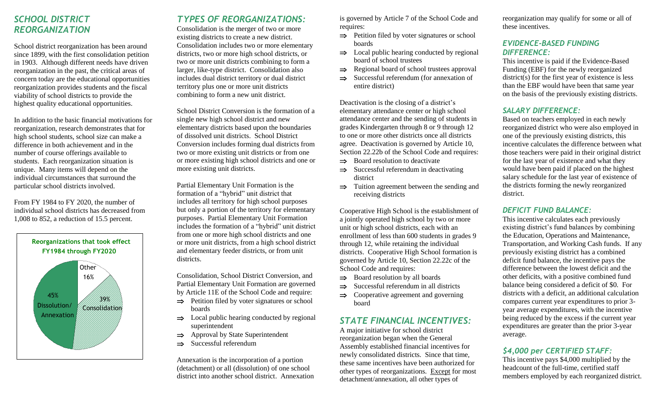## *SCHOOL DISTRICT REORGANIZATION*

School district reorganization has been around since 1899, with the first consolidation petition in 1903. Although different needs have driven reorganization in the past, the critical areas of concern today are the educational opportunities reorganization provides students and the fiscal viability of school districts to provide the highest quality educational opportunities.

In addition to the basic financial motivations for reorganization, research demonstrates that for high school students, school size can make a difference in both achievement and in the number of course offerings available to students. Each reorganization situation is unique. Many items will depend on the individual circumstances that surround the particular school districts involved.

From FY 1984 to FY 2020, the number of individual school districts has decreased from 1,008 to 852, a reduction of 15.5 percent.



## *TYPES OF REORGANIZATIONS:*

Consolidation is the merger of two or more existing districts to create a new district. Consolidation includes two or more elementary districts, two or more high school districts, or two or more unit districts combining to form a larger, like-type district. Consolidation also includes dual district territory or dual district territory plus one or more unit districts combining to form a new unit district.

School District Conversion is the formation of a single new high school district and new elementary districts based upon the boundaries of dissolved unit districts. School District Conversion includes forming dual districts from two or more existing unit districts or from one or more existing high school districts and one or more existing unit districts.

Partial Elementary Unit Formation is the formation of a "hybrid" unit district that includes all territory for high school purposes but only a portion of the territory for elementary purposes. Partial Elementary Unit Formation includes the formation of a "hybrid" unit district from one or more high school districts and one or more unit districts, from a high school district and elementary feeder districts, or from unit districts.

Consolidation, School District Conversion, and Partial Elementary Unit Formation are governed by Article 11E of the School Code and require:

- $\Rightarrow$  Petition filed by voter signatures or school boards
- $\Rightarrow$  Local public hearing conducted by regional superintendent
- $\Rightarrow$  Approval by State Superintendent
- $\Rightarrow$  Successful referendum

Annexation is the incorporation of a portion (detachment) or all (dissolution) of one school district into another school district. Annexation is governed by Article 7 of the School Code and requires:

- $\Rightarrow$  Petition filed by voter signatures or school boards
- $\Rightarrow$  Local public hearing conducted by regional board of school trustees
- $\Rightarrow$  Regional board of school trustees approval
- $\Rightarrow$  Successful referendum (for annexation of entire district)

Deactivation is the closing of a district's elementary attendance center or high school attendance center and the sending of students in grades Kindergarten through 8 or 9 through 12 to one or more other districts once all districts agree. Deactivation is governed by Article 10, Section 22.22b of the School Code and requires:

- $\Rightarrow$  Board resolution to deactivate
- $\Rightarrow$  Successful referendum in deactivating district
- $\Rightarrow$  Tuition agreement between the sending and receiving districts

Cooperative High School is the establishment of a jointly operated high school by two or more unit or high school districts, each with an enrollment of less than 600 students in grades 9 through 12, while retaining the individual districts. Cooperative High School formation is governed by Article 10, Section 22.22c of the School Code and requires:

- $\Rightarrow$  Board resolution by all boards
- $\Rightarrow$  Successful referendum in all districts
- $\Rightarrow$  Cooperative agreement and governing board

## *STATE FINANCIAL INCENTIVES:*

A major initiative for school district reorganization began when the General Assembly established financial incentives for newly consolidated districts. Since that time, these same incentives have been authorized for other types of reorganizations. Except for most detachment/annexation, all other types of

reorganization may qualify for some or all of these incentives.

## *EVIDENCE-BASED FUNDING DIFFERENCE:*

This incentive is paid if the Evidence-Based Funding (EBF) for the newly reorganized district(s) for the first year of existence is less than the EBF would have been that same year on the basis of the previously existing districts.

## *SALARY DIFFERENCE:*

Based on teachers employed in each newly reorganized district who were also employed in one of the previously existing districts, this incentive calculates the difference between what those teachers were paid in their original district for the last year of existence and what they would have been paid if placed on the highest salary schedule for the last year of existence of the districts forming the newly reorganized district.

#### *DEFICIT FUND BALANCE:*

This incentive calculates each previously existing district's fund balances by combining the Education, Operations and Maintenance, Transportation, and Working Cash funds. If any previously existing district has a combined deficit fund balance, the incentive pays the difference between the lowest deficit and the other deficits, with a positive combined fund balance being considered a deficit of \$0. For districts with a deficit, an additional calculation compares current year expenditures to prior 3 year average expenditures, with the incentive being reduced by the excess if the current year expenditures are greater than the prior 3-year average.

## *\$4,000 per CERTIFIED STAFF:*

This incentive pays \$4,000 multiplied by the headcount of the full-time, certified staff members employed by each reorganized district.